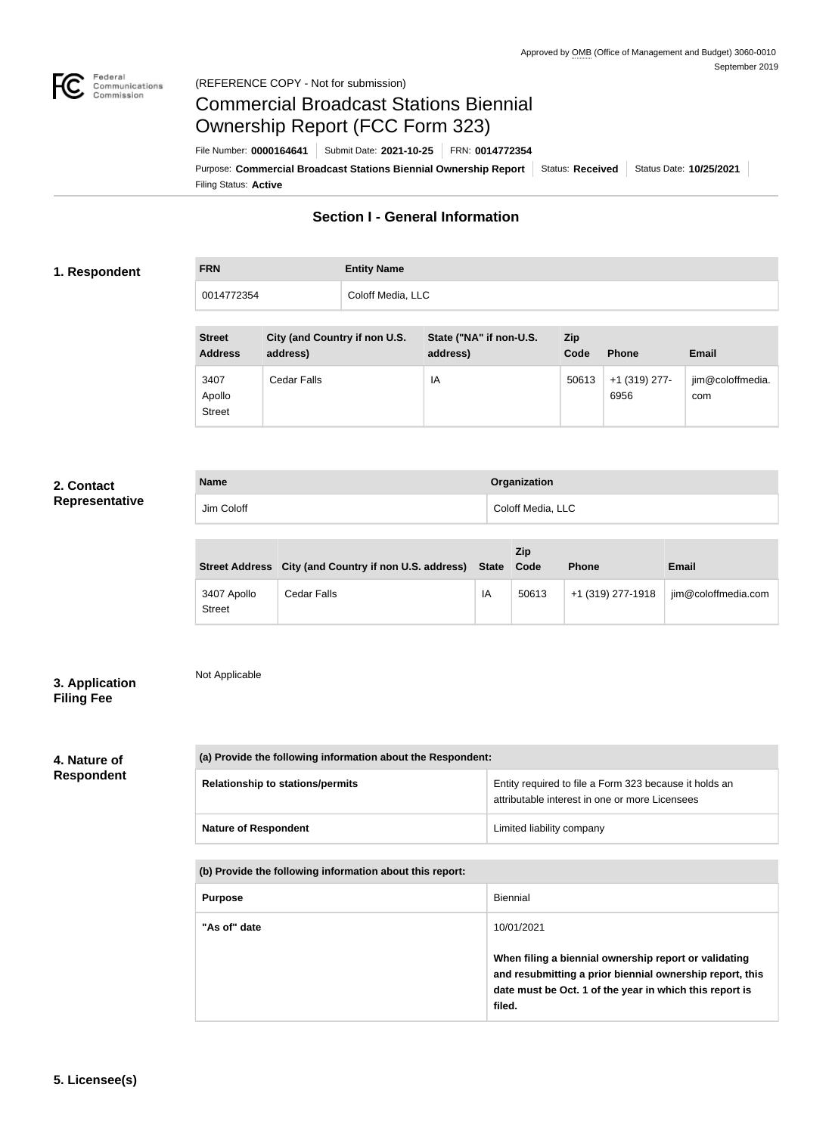

# Commercial Broadcast Stations Biennial Ownership Report (FCC Form 323)

Filing Status: **Active** Purpose: Commercial Broadcast Stations Biennial Ownership Report Status: Received | Status Date: 10/25/2021 File Number: **0000164641** Submit Date: **2021-10-25** FRN: **0014772354**

# **Section I - General Information**

### **1. Respondent**

| <b>FRN</b> | <b>Entity Name</b> |
|------------|--------------------|
| 0014772354 | Coloff Media, LLC  |

| <b>Street</b><br><b>Address</b> | City (and Country if non U.S.<br>address) | State ("NA" if non-U.S.<br>address) | <b>Zip</b><br>Code | <b>Phone</b>          | <b>Email</b>            |
|---------------------------------|-------------------------------------------|-------------------------------------|--------------------|-----------------------|-------------------------|
| 3407<br>Apollo<br><b>Street</b> | Cedar Falls                               | IA                                  | 50613              | +1 (319) 277-<br>6956 | jim@coloffmedia.<br>com |

# **2. Contact Representative**

| <b>Name</b> | Organization      |
|-------------|-------------------|
| Jim Coloff  | Coloff Media, LLC |

|                              | Street Address City (and Country if non U.S. address) State |    | Zip<br>Code | <b>Phone</b>      | <b>Email</b>        |
|------------------------------|-------------------------------------------------------------|----|-------------|-------------------|---------------------|
| 3407 Apollo<br><b>Street</b> | Cedar Falls                                                 | IA | 50613       | +1 (319) 277-1918 | jim@coloffmedia.com |

# **3. Application Filing Fee**

# Not Applicable

# **4. Nature of**

**Respondent**

# **(a) Provide the following information about the Respondent:**

| <b>Relationship to stations/permits</b> | Entity required to file a Form 323 because it holds an<br>attributable interest in one or more Licensees |
|-----------------------------------------|----------------------------------------------------------------------------------------------------------|
| <b>Nature of Respondent</b>             | Limited liability company                                                                                |

### **(b) Provide the following information about this report:**

| <b>Purpose</b> | Biennial                                                                                                                                                                                             |
|----------------|------------------------------------------------------------------------------------------------------------------------------------------------------------------------------------------------------|
| "As of" date   | 10/01/2021<br>When filing a biennial ownership report or validating<br>and resubmitting a prior biennial ownership report, this<br>date must be Oct. 1 of the year in which this report is<br>filed. |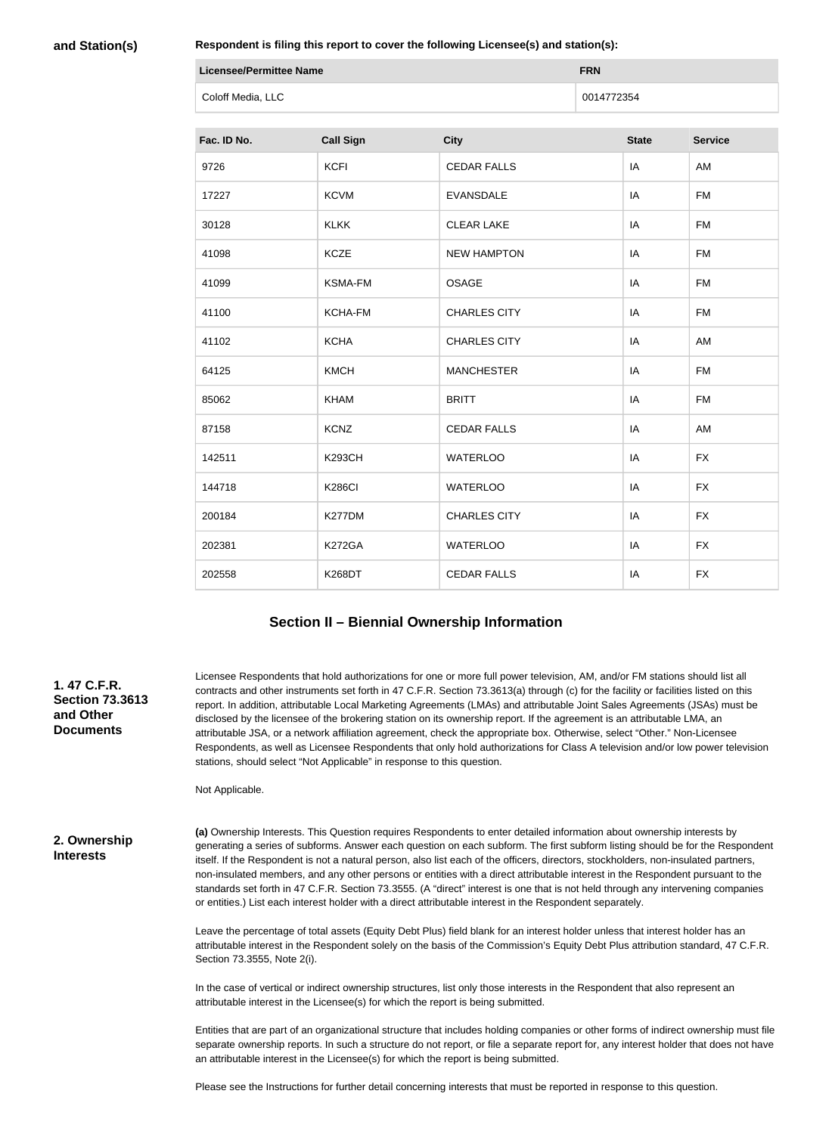**and Station(s)**

**Respondent is filing this report to cover the following Licensee(s) and station(s):**

| <b>Licensee/Permittee Name</b> | <b>FRN</b> |
|--------------------------------|------------|
| Coloff Media, LLC              | 0014772354 |

| Fac. ID No. | <b>Call Sign</b> | <b>City</b>         | <b>State</b> | <b>Service</b> |
|-------------|------------------|---------------------|--------------|----------------|
| 9726        | <b>KCFI</b>      | <b>CEDAR FALLS</b>  | IA           | AM             |
| 17227       | <b>KCVM</b>      | <b>EVANSDALE</b>    | IA           | <b>FM</b>      |
| 30128       | <b>KLKK</b>      | <b>CLEAR LAKE</b>   | IA           | <b>FM</b>      |
| 41098       | <b>KCZE</b>      | <b>NEW HAMPTON</b>  | IA           | <b>FM</b>      |
| 41099       | <b>KSMA-FM</b>   | <b>OSAGE</b>        | IA           | <b>FM</b>      |
| 41100       | KCHA-FM          | <b>CHARLES CITY</b> | IA           | <b>FM</b>      |
| 41102       | <b>KCHA</b>      | <b>CHARLES CITY</b> | IA           | AM             |
| 64125       | <b>KMCH</b>      | <b>MANCHESTER</b>   | IA           | <b>FM</b>      |
| 85062       | <b>KHAM</b>      | <b>BRITT</b>        | IA           | <b>FM</b>      |
| 87158       | <b>KCNZ</b>      | <b>CEDAR FALLS</b>  | IA           | AM             |
| 142511      | <b>K293CH</b>    | <b>WATERLOO</b>     | IA           | <b>FX</b>      |
| 144718      | <b>K286CI</b>    | <b>WATERLOO</b>     | IA           | <b>FX</b>      |
| 200184      | K277DM           | <b>CHARLES CITY</b> | IA           | <b>FX</b>      |
| 202381      | <b>K272GA</b>    | <b>WATERLOO</b>     | IA           | <b>FX</b>      |
| 202558      | <b>K268DT</b>    | <b>CEDAR FALLS</b>  | IA           | <b>FX</b>      |

### **Section II – Biennial Ownership Information**

# Licensee Respondents that hold authorizations for one or more full power television, AM, and/or FM stations should list all contracts and other instruments set forth in 47 C.F.R. Section 73.3613(a) through (c) for the facility or facilities listed on this report. In addition, attributable Local Marketing Agreements (LMAs) and attributable Joint Sales Agreements (JSAs) must be disclosed by the licensee of the brokering station on its ownership report. If the agreement is an attributable LMA, an attributable JSA, or a network affiliation agreement, check the appropriate box. Otherwise, select "Other." Non-Licensee Respondents, as well as Licensee Respondents that only hold authorizations for Class A television and/or low power television stations, should select "Not Applicable" in response to this question.

Not Applicable.

**2. Ownership Interests**

**1. 47 C.F.R. Section 73.3613** 

**and Other Documents**

> **(a)** Ownership Interests. This Question requires Respondents to enter detailed information about ownership interests by generating a series of subforms. Answer each question on each subform. The first subform listing should be for the Respondent itself. If the Respondent is not a natural person, also list each of the officers, directors, stockholders, non-insulated partners, non-insulated members, and any other persons or entities with a direct attributable interest in the Respondent pursuant to the standards set forth in 47 C.F.R. Section 73.3555. (A "direct" interest is one that is not held through any intervening companies or entities.) List each interest holder with a direct attributable interest in the Respondent separately.

> Leave the percentage of total assets (Equity Debt Plus) field blank for an interest holder unless that interest holder has an attributable interest in the Respondent solely on the basis of the Commission's Equity Debt Plus attribution standard, 47 C.F.R. Section 73.3555, Note 2(i).

In the case of vertical or indirect ownership structures, list only those interests in the Respondent that also represent an attributable interest in the Licensee(s) for which the report is being submitted.

Entities that are part of an organizational structure that includes holding companies or other forms of indirect ownership must file separate ownership reports. In such a structure do not report, or file a separate report for, any interest holder that does not have an attributable interest in the Licensee(s) for which the report is being submitted.

Please see the Instructions for further detail concerning interests that must be reported in response to this question.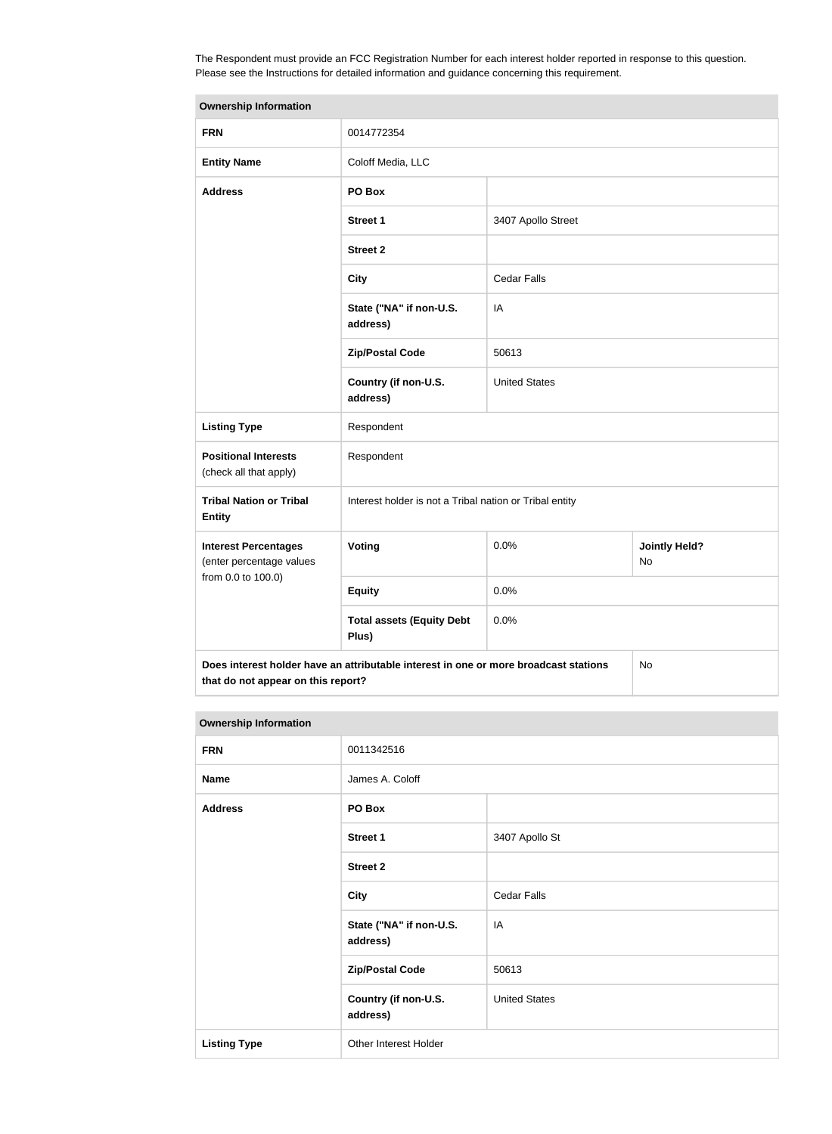The Respondent must provide an FCC Registration Number for each interest holder reported in response to this question. Please see the Instructions for detailed information and guidance concerning this requirement.

| <b>Ownership Information</b>                            |                                                                                      |                      |                            |
|---------------------------------------------------------|--------------------------------------------------------------------------------------|----------------------|----------------------------|
| <b>FRN</b>                                              | 0014772354                                                                           |                      |                            |
| <b>Entity Name</b>                                      | Coloff Media, LLC                                                                    |                      |                            |
| <b>Address</b>                                          | PO Box                                                                               |                      |                            |
|                                                         | Street 1                                                                             | 3407 Apollo Street   |                            |
|                                                         | <b>Street 2</b>                                                                      |                      |                            |
|                                                         | <b>City</b>                                                                          | <b>Cedar Falls</b>   |                            |
|                                                         | State ("NA" if non-U.S.<br>address)                                                  | IA                   |                            |
|                                                         | <b>Zip/Postal Code</b>                                                               | 50613                |                            |
|                                                         | Country (if non-U.S.<br>address)                                                     | <b>United States</b> |                            |
| <b>Listing Type</b>                                     | Respondent                                                                           |                      |                            |
| <b>Positional Interests</b><br>(check all that apply)   | Respondent                                                                           |                      |                            |
| <b>Tribal Nation or Tribal</b><br><b>Entity</b>         | Interest holder is not a Tribal nation or Tribal entity                              |                      |                            |
| <b>Interest Percentages</b><br>(enter percentage values | Voting                                                                               | 0.0%                 | <b>Jointly Held?</b><br>No |
| from 0.0 to 100.0)                                      | <b>Equity</b>                                                                        | 0.0%                 |                            |
|                                                         | <b>Total assets (Equity Debt</b><br>Plus)                                            | 0.0%                 |                            |
|                                                         | Does interest holder have an attributable interest in one or more broadcast stations |                      | No                         |

**that do not appear on this report?**

| <b>Ownership Information</b> |                                     |                      |  |
|------------------------------|-------------------------------------|----------------------|--|
| <b>FRN</b>                   | 0011342516                          |                      |  |
| <b>Name</b>                  | James A. Coloff                     |                      |  |
| <b>Address</b>               | PO Box                              |                      |  |
|                              | <b>Street 1</b>                     | 3407 Apollo St       |  |
|                              | <b>Street 2</b>                     |                      |  |
|                              | <b>City</b>                         | <b>Cedar Falls</b>   |  |
|                              | State ("NA" if non-U.S.<br>address) | IA                   |  |
|                              | <b>Zip/Postal Code</b>              | 50613                |  |
|                              | Country (if non-U.S.<br>address)    | <b>United States</b> |  |
| <b>Listing Type</b>          | Other Interest Holder               |                      |  |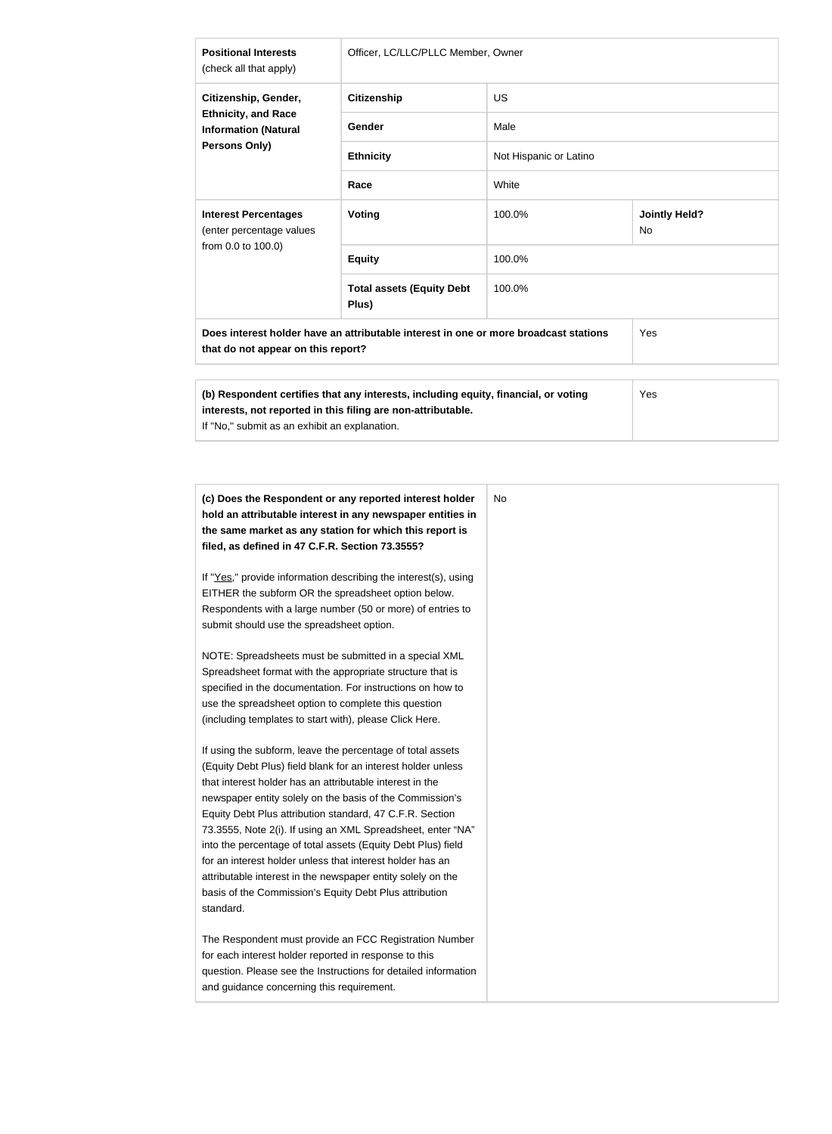| <b>Positional Interests</b><br>(check all that apply)                                                                             | Officer, LC/LLC/PLLC Member, Owner                                                                                                                  |                        |                            |  |
|-----------------------------------------------------------------------------------------------------------------------------------|-----------------------------------------------------------------------------------------------------------------------------------------------------|------------------------|----------------------------|--|
| Citizenship, Gender,                                                                                                              | <b>Citizenship</b>                                                                                                                                  | <b>US</b>              |                            |  |
| <b>Ethnicity, and Race</b><br><b>Information (Natural</b>                                                                         | Gender                                                                                                                                              | Male                   |                            |  |
| Persons Only)                                                                                                                     | <b>Ethnicity</b>                                                                                                                                    | Not Hispanic or Latino |                            |  |
|                                                                                                                                   | Race                                                                                                                                                | White                  |                            |  |
| <b>Interest Percentages</b><br>(enter percentage values                                                                           | Voting                                                                                                                                              | 100.0%                 | <b>Jointly Held?</b><br>No |  |
| from 0.0 to 100.0)                                                                                                                | <b>Equity</b>                                                                                                                                       | 100.0%                 |                            |  |
|                                                                                                                                   | <b>Total assets (Equity Debt</b><br>Plus)                                                                                                           | 100.0%                 |                            |  |
| Does interest holder have an attributable interest in one or more broadcast stations<br>Yes<br>that do not appear on this report? |                                                                                                                                                     |                        |                            |  |
| If "No," submit as an exhibit an explanation.                                                                                     | (b) Respondent certifies that any interests, including equity, financial, or voting<br>interests, not reported in this filing are non-attributable. |                        | Yes                        |  |

| (c) Does the Respondent or any reported interest holder<br>hold an attributable interest in any newspaper entities in<br>the same market as any station for which this report is<br>filed, as defined in 47 C.F.R. Section 73.3555?                                                                                                                                                                                                                                                                                                                                                                                                              | No |
|--------------------------------------------------------------------------------------------------------------------------------------------------------------------------------------------------------------------------------------------------------------------------------------------------------------------------------------------------------------------------------------------------------------------------------------------------------------------------------------------------------------------------------------------------------------------------------------------------------------------------------------------------|----|
| If "Yes," provide information describing the interest(s), using<br>EITHER the subform OR the spreadsheet option below.<br>Respondents with a large number (50 or more) of entries to<br>submit should use the spreadsheet option.                                                                                                                                                                                                                                                                                                                                                                                                                |    |
| NOTE: Spreadsheets must be submitted in a special XML<br>Spreadsheet format with the appropriate structure that is<br>specified in the documentation. For instructions on how to<br>use the spreadsheet option to complete this question<br>(including templates to start with), please Click Here.                                                                                                                                                                                                                                                                                                                                              |    |
| If using the subform, leave the percentage of total assets<br>(Equity Debt Plus) field blank for an interest holder unless<br>that interest holder has an attributable interest in the<br>newspaper entity solely on the basis of the Commission's<br>Equity Debt Plus attribution standard, 47 C.F.R. Section<br>73.3555, Note 2(i). If using an XML Spreadsheet, enter "NA"<br>into the percentage of total assets (Equity Debt Plus) field<br>for an interest holder unless that interest holder has an<br>attributable interest in the newspaper entity solely on the<br>basis of the Commission's Equity Debt Plus attribution<br>standard. |    |
| The Respondent must provide an FCC Registration Number<br>for each interest holder reported in response to this<br>question. Please see the Instructions for detailed information<br>and guidance concerning this requirement.                                                                                                                                                                                                                                                                                                                                                                                                                   |    |